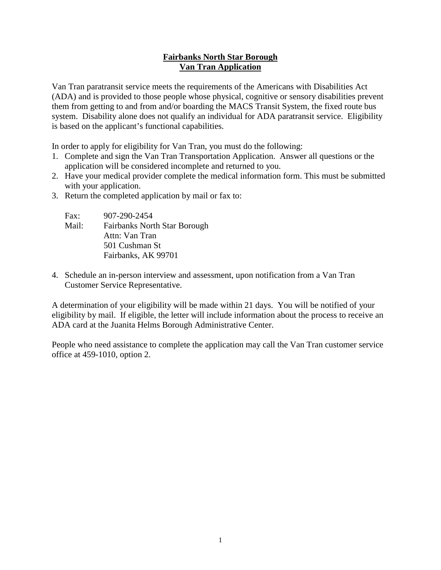# **Fairbanks North Star Borough Van Tran Application**

Van Tran paratransit service meets the requirements of the Americans with Disabilities Act (ADA) and is provided to those people whose physical, cognitive or sensory disabilities prevent them from getting to and from and/or boarding the MACS Transit System, the fixed route bus system. Disability alone does not qualify an individual for ADA paratransit service. Eligibility is based on the applicant's functional capabilities.

In order to apply for eligibility for Van Tran, you must do the following:

- 1. Complete and sign the Van Tran Transportation Application. Answer all questions or the application will be considered incomplete and returned to you.
- 2. Have your medical provider complete the medical information form. This must be submitted with your application.
- 3. Return the completed application by mail or fax to:

| Fax:  | 907-290-2454                        |
|-------|-------------------------------------|
| Mail: | <b>Fairbanks North Star Borough</b> |
|       | Attn: Van Tran                      |
|       | 501 Cushman St                      |
|       | Fairbanks, AK 99701                 |

4. Schedule an in-person interview and assessment, upon notification from a Van Tran Customer Service Representative.

A determination of your eligibility will be made within 21 days. You will be notified of your eligibility by mail. If eligible, the letter will include information about the process to receive an ADA card at the Juanita Helms Borough Administrative Center.

People who need assistance to complete the application may call the Van Tran customer service office at 459-1010, option 2.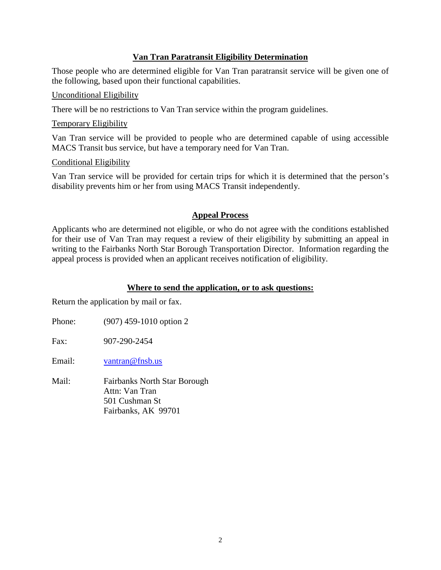# **Van Tran Paratransit Eligibility Determination**

Those people who are determined eligible for Van Tran paratransit service will be given one of the following, based upon their functional capabilities.

#### Unconditional Eligibility

There will be no restrictions to Van Tran service within the program guidelines.

#### Temporary Eligibility

Van Tran service will be provided to people who are determined capable of using accessible MACS Transit bus service, but have a temporary need for Van Tran.

#### Conditional Eligibility

Van Tran service will be provided for certain trips for which it is determined that the person's disability prevents him or her from using MACS Transit independently.

### **Appeal Process**

Applicants who are determined not eligible, or who do not agree with the conditions established for their use of Van Tran may request a review of their eligibility by submitting an appeal in writing to the Fairbanks North Star Borough Transportation Director. Information regarding the appeal process is provided when an applicant receives notification of eligibility.

### **Where to send the application, or to ask questions:**

Return the application by mail or fax.

Phone: (907) 459-1010 option 2

Fax: 907-290-2454

Email: [vantran@fnsb.us](mailto:vantran@fnsb.us)

Mail: Fairbanks North Star Borough Attn: Van Tran 501 Cushman St Fairbanks, AK 99701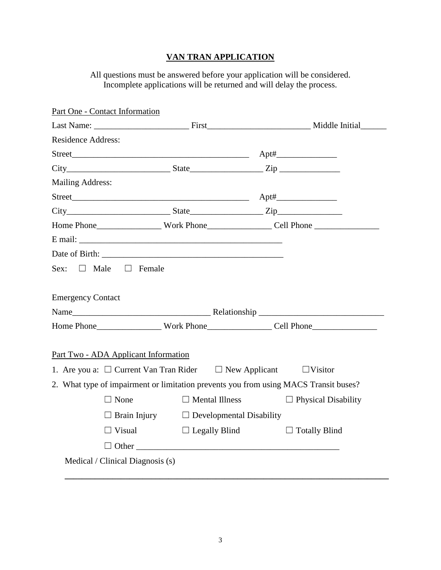# **VAN TRAN APPLICATION**

All questions must be answered before your application will be considered. Incomplete applications will be returned and will delay the process.

| Part One - Contact Information       |                                                                                 |                                                                                      |
|--------------------------------------|---------------------------------------------------------------------------------|--------------------------------------------------------------------------------------|
|                                      |                                                                                 |                                                                                      |
| <b>Residence Address:</b>            |                                                                                 |                                                                                      |
|                                      |                                                                                 |                                                                                      |
|                                      | $City$ $City$ $State$ $Zip$                                                     |                                                                                      |
| <b>Mailing Address:</b>              |                                                                                 |                                                                                      |
|                                      |                                                                                 |                                                                                      |
|                                      |                                                                                 | $City$ $City$ $Size$ $Size$ $Zip$                                                    |
|                                      |                                                                                 |                                                                                      |
|                                      |                                                                                 |                                                                                      |
|                                      | Date of Birth:                                                                  |                                                                                      |
| Sex: $\Box$ Male $\Box$ Female       |                                                                                 |                                                                                      |
| <b>Emergency Contact</b>             |                                                                                 |                                                                                      |
|                                      |                                                                                 |                                                                                      |
|                                      |                                                                                 |                                                                                      |
| Part Two - ADA Applicant Information |                                                                                 |                                                                                      |
|                                      | 1. Are you a: $\Box$ Current Van Tran Rider $\Box$ New Applicant $\Box$ Visitor |                                                                                      |
|                                      |                                                                                 | 2. What type of impairment or limitation prevents you from using MACS Transit buses? |
| $\Box$ None                          | $\Box$ Mental Illness                                                           | $\Box$ Physical Disability                                                           |
|                                      | $\Box$ Brain Injury $\Box$ Developmental Disability                             |                                                                                      |
|                                      | $\Box$ Visual $\Box$ Legally Blind                                              | $\Box$ Totally Blind                                                                 |
|                                      |                                                                                 |                                                                                      |
| Medical / Clinical Diagnosis (s)     |                                                                                 |                                                                                      |
|                                      |                                                                                 |                                                                                      |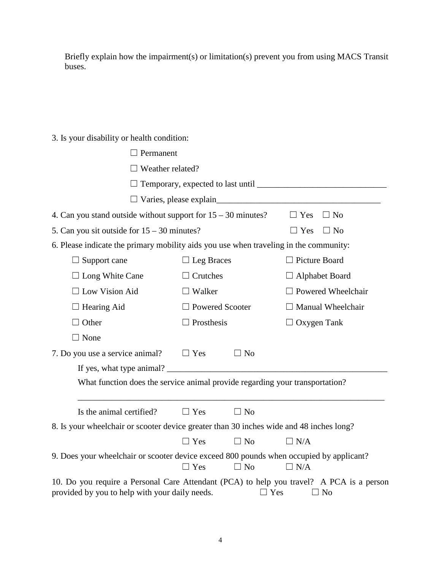Briefly explain how the impairment(s) or limitation(s) prevent you from using MACS Transit buses.

# 3. Is your disability or health condition:

| $\Box$ Permanent                                                                                                                           |                        |            |                           |
|--------------------------------------------------------------------------------------------------------------------------------------------|------------------------|------------|---------------------------|
| $\Box$ Weather related?                                                                                                                    |                        |            |                           |
|                                                                                                                                            |                        |            |                           |
|                                                                                                                                            |                        |            |                           |
| 4. Can you stand outside without support for $15 - 30$ minutes?<br>$\Box$ Yes<br>$\Box$ No                                                 |                        |            |                           |
| 5. Can you sit outside for $15 - 30$ minutes?                                                                                              |                        |            | $\Box$ No<br>$\Box$ Yes   |
| 6. Please indicate the primary mobility aids you use when traveling in the community:                                                      |                        |            |                           |
| $\Box$ Support cane                                                                                                                        | $\Box$ Leg Braces      |            | $\Box$ Picture Board      |
| $\Box$ Long White Cane                                                                                                                     | $\Box$ Crutches        |            | $\Box$ Alphabet Board     |
| $\Box$ Low Vision Aid                                                                                                                      | $\Box$ Walker          |            | $\Box$ Powered Wheelchair |
| $\Box$ Hearing Aid                                                                                                                         | $\Box$ Powered Scooter |            | $\Box$ Manual Wheelchair  |
| Other                                                                                                                                      | $\Box$ Prosthesis      |            | $\Box$ Oxygen Tank        |
| $\Box$ None                                                                                                                                |                        |            |                           |
| 7. Do you use a service animal?                                                                                                            | $\Box$ Yes             | $\Box$ No  |                           |
| If yes, what type animal?                                                                                                                  |                        |            |                           |
| What function does the service animal provide regarding your transportation?                                                               |                        |            |                           |
|                                                                                                                                            |                        |            |                           |
| Is the animal certified?                                                                                                                   | $\Box$ Yes             | $\Box$ No  |                           |
| 8. Is your wheelchair or scooter device greater than 30 inches wide and 48 inches long?                                                    |                        |            |                           |
|                                                                                                                                            | $\Box$ Yes             | $\Box$ No  | $\Box$ N/A                |
| 9. Does your wheelchair or scooter device exceed 800 pounds when occupied by applicant?                                                    | $\Box$ Yes             | $\Box$ No  | $\Box$ N/A                |
| 10. Do you require a Personal Care Attendant (PCA) to help you travel? A PCA is a person<br>provided by you to help with your daily needs. |                        | $\Box$ Yes | $\Box$ No                 |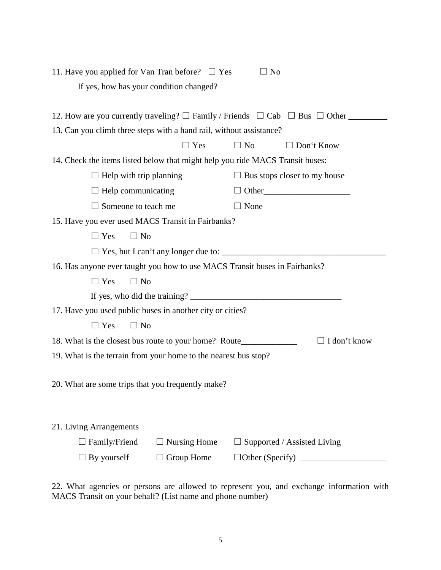| 11. Have you applied for Van Tran before? $\Box$ Yes                                                     | $\Box$ No                           |  |  |
|----------------------------------------------------------------------------------------------------------|-------------------------------------|--|--|
| If yes, how has your condition changed?                                                                  |                                     |  |  |
|                                                                                                          |                                     |  |  |
| 12. How are you currently traveling? $\Box$ Family / Friends $\Box$ Cab $\Box$ Bus $\Box$ Other          |                                     |  |  |
| 13. Can you climb three steps with a hand rail, without assistance?                                      |                                     |  |  |
| $\Box$ Yes                                                                                               | $\Box$ No<br>$\Box$ Don't Know      |  |  |
| 14. Check the items listed below that might help you ride MACS Transit buses:                            |                                     |  |  |
| $\Box$ Help with trip planning                                                                           | $\Box$ Bus stops closer to my house |  |  |
| $\Box$ Help communicating                                                                                |                                     |  |  |
| $\Box$ Someone to teach me                                                                               | $\Box$ None                         |  |  |
| 15. Have you ever used MACS Transit in Fairbanks?                                                        |                                     |  |  |
| $\Box$ Yes<br>$\Box$ No                                                                                  |                                     |  |  |
|                                                                                                          |                                     |  |  |
| 16. Has anyone ever taught you how to use MACS Transit buses in Fairbanks?                               |                                     |  |  |
| $\Box$ No<br>$\Box$ Yes                                                                                  |                                     |  |  |
|                                                                                                          |                                     |  |  |
| 17. Have you used public buses in another city or cities?                                                |                                     |  |  |
| $\Box$ Yes<br>$\Box$ No                                                                                  |                                     |  |  |
| $\Box$ I don't know<br>18. What is the closest bus route to your home? Route____________________________ |                                     |  |  |
| 19. What is the terrain from your home to the nearest bus stop?                                          |                                     |  |  |
|                                                                                                          |                                     |  |  |
| 20. What are some trips that you frequently make?                                                        |                                     |  |  |
|                                                                                                          |                                     |  |  |
|                                                                                                          |                                     |  |  |
| 21. Living Arrangements                                                                                  |                                     |  |  |
| Family/Friend<br><b>Nursing Home</b>                                                                     | Supported / Assisted Living         |  |  |
| $\Box$ By yourself<br>Group Home                                                                         | $\Box$ Other (Specify)              |  |  |

22. What agencies or persons are allowed to represent you, and exchange information with MACS Transit on your behalf? (List name and phone number)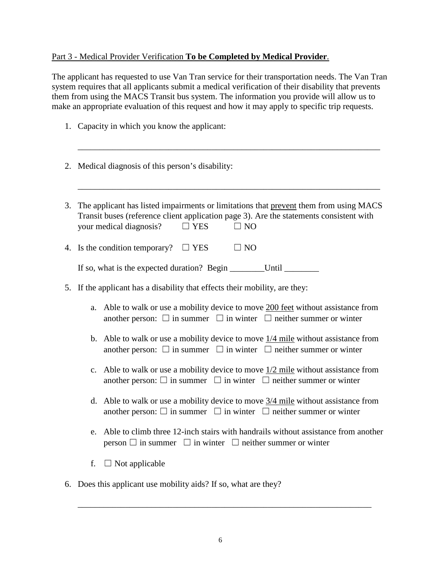# Part 3 - Medical Provider Verification **To be Completed by Medical Provider**.

The applicant has requested to use Van Tran service for their transportation needs. The Van Tran system requires that all applicants submit a medical verification of their disability that prevents them from using the MACS Transit bus system. The information you provide will allow us to make an appropriate evaluation of this request and how it may apply to specific trip requests.

- 1. Capacity in which you know the applicant:
- 2. Medical diagnosis of this person's disability:
- 3. The applicant has listed impairments or limitations that prevent them from using MACS Transit buses (reference client application page 3). Are the statements consistent with your medical diagnosis?  $\Box$  YES  $\Box$  NO

\_\_\_\_\_\_\_\_\_\_\_\_\_\_\_\_\_\_\_\_\_\_\_\_\_\_\_\_\_\_\_\_\_\_\_\_\_\_\_\_\_\_\_\_\_\_\_\_\_\_\_\_\_\_\_\_\_\_\_\_\_\_\_\_\_\_\_\_\_\_

\_\_\_\_\_\_\_\_\_\_\_\_\_\_\_\_\_\_\_\_\_\_\_\_\_\_\_\_\_\_\_\_\_\_\_\_\_\_\_\_\_\_\_\_\_\_\_\_\_\_\_\_\_\_\_\_\_\_\_\_\_\_\_\_\_\_\_\_\_\_

4. Is the condition temporary?  $\Box$  YES  $\Box$  NO

| If so, what is the expected duration? Begin | Until |  |
|---------------------------------------------|-------|--|
|                                             |       |  |

- 5. If the applicant has a disability that effects their mobility, are they:
	- a. Able to walk or use a mobility device to move 200 feet without assistance from another person:  $\Box$  in summer  $\Box$  in winter  $\Box$  neither summer or winter
	- b. Able to walk or use a mobility device to move  $\frac{1}{4}$  mile without assistance from another person:  $\Box$  in summer  $\Box$  in winter  $\Box$  neither summer or winter
	- c. Able to walk or use a mobility device to move 1/2 mile without assistance from another person:  $\Box$  in summer  $\Box$  in winter  $\Box$  neither summer or winter
	- d. Able to walk or use a mobility device to move  $\frac{3}{4}$  mile without assistance from another person:  $\Box$  in summer  $\Box$  in winter  $\Box$  neither summer or winter
	- e. Able to climb three 12-inch stairs with handrails without assistance from another person  $\Box$  in summer  $\Box$  in winter  $\Box$  neither summer or winter
	- f.  $\Box$  Not applicable
- 6. Does this applicant use mobility aids? If so, what are they?

\_\_\_\_\_\_\_\_\_\_\_\_\_\_\_\_\_\_\_\_\_\_\_\_\_\_\_\_\_\_\_\_\_\_\_\_\_\_\_\_\_\_\_\_\_\_\_\_\_\_\_\_\_\_\_\_\_\_\_\_\_\_\_\_\_\_\_\_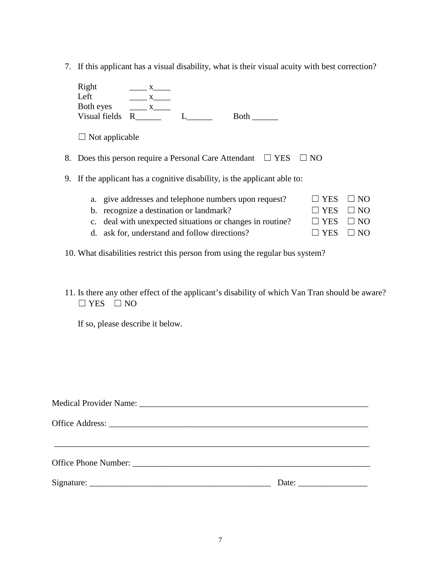7. If this applicant has a visual disability, what is their visual acuity with best correction?

|    | Right<br>Left<br>Both eyes<br>Visual fields | $\mathbf{X}$<br>X.<br>R |                                                    | <b>Both</b> |            |  |
|----|---------------------------------------------|-------------------------|----------------------------------------------------|-------------|------------|--|
|    | $\Box$ Not applicable                       |                         |                                                    |             |            |  |
| 8. |                                             |                         | Does this person require a Personal Care Attendant |             | <b>YES</b> |  |

9. If the applicant has a cognitive disability, is the applicant able to:

| a. give addresses and telephone numbers upon request?     | $\Box$ YES $\Box$ NO |  |
|-----------------------------------------------------------|----------------------|--|
| b. recognize a destination or landmark?                   | $\Box$ YES $\Box$ NO |  |
| c. deal with unexpected situations or changes in routine? | $\Box$ YES $\Box$ NO |  |
| d. ask for, understand and follow directions?             | $\Box$ YES $\Box$ NO |  |

- 10. What disabilities restrict this person from using the regular bus system?
- 11. Is there any other effect of the applicant's disability of which Van Tran should be aware?  $\Box$  YES  $\Box$  NO

If so, please describe it below.

| Date: $\qquad \qquad$ |
|-----------------------|